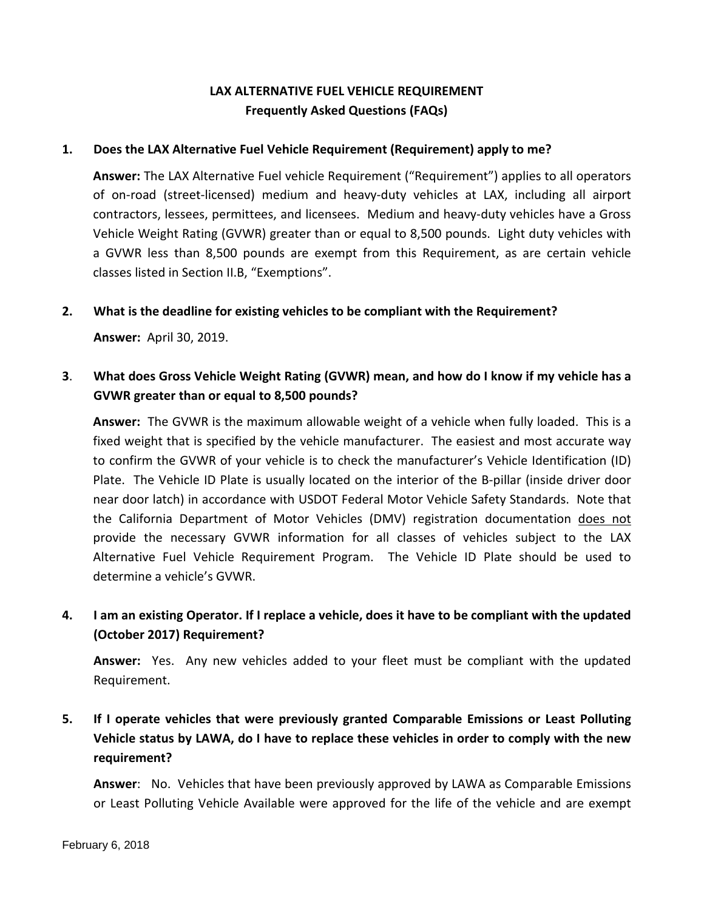## **LAX ALTERNATIVE FUEL VEHICLE REQUIREMENT Frequently Asked Questions (FAQs)**

#### **1. Does the LAX Alternative Fuel Vehicle Requirement (Requirement) apply to me?**

**Answer:** The LAX Alternative Fuel vehicle Requirement ("Requirement") applies to all operators of on-road (street-licensed) medium and heavy-duty vehicles at LAX, including all airport contractors, lessees, permittees, and licensees. Medium and heavy-duty vehicles have a Gross Vehicle Weight Rating (GVWR) greater than or equal to 8,500 pounds. Light duty vehicles with a GVWR less than 8,500 pounds are exempt from this Requirement, as are certain vehicle classes listed in Section II.B, "Exemptions".

#### **2. What is the deadline for existing vehicles to be compliant with the Requirement?**

**Answer:** April 30, 2019.

### **3**. **What does Gross Vehicle Weight Rating (GVWR) mean, and how do I know if my vehicle has a GVWR greater than or equal to 8,500 pounds?**

**Answer:** The GVWR is the maximum allowable weight of a vehicle when fully loaded. This is a fixed weight that is specified by the vehicle manufacturer. The easiest and most accurate way to confirm the GVWR of your vehicle is to check the manufacturer's Vehicle Identification (ID) Plate. The Vehicle ID Plate is usually located on the interior of the B-pillar (inside driver door near door latch) in accordance with USDOT Federal Motor Vehicle Safety Standards. Note that the California Department of Motor Vehicles (DMV) registration documentation does not provide the necessary GVWR information for all classes of vehicles subject to the LAX Alternative Fuel Vehicle Requirement Program. The Vehicle ID Plate should be used to determine a vehicle's GVWR.

# **4. I am an existing Operator. If I replace a vehicle, does it have to be compliant with the updated (October 2017) Requirement?**

**Answer:** Yes. Any new vehicles added to your fleet must be compliant with the updated Requirement.

# **5. If I operate vehicles that were previously granted Comparable Emissions or Least Polluting Vehicle status by LAWA, do I have to replace these vehicles in order to comply with the new requirement?**

**Answer**: No. Vehicles that have been previously approved by LAWA as Comparable Emissions or Least Polluting Vehicle Available were approved for the life of the vehicle and are exempt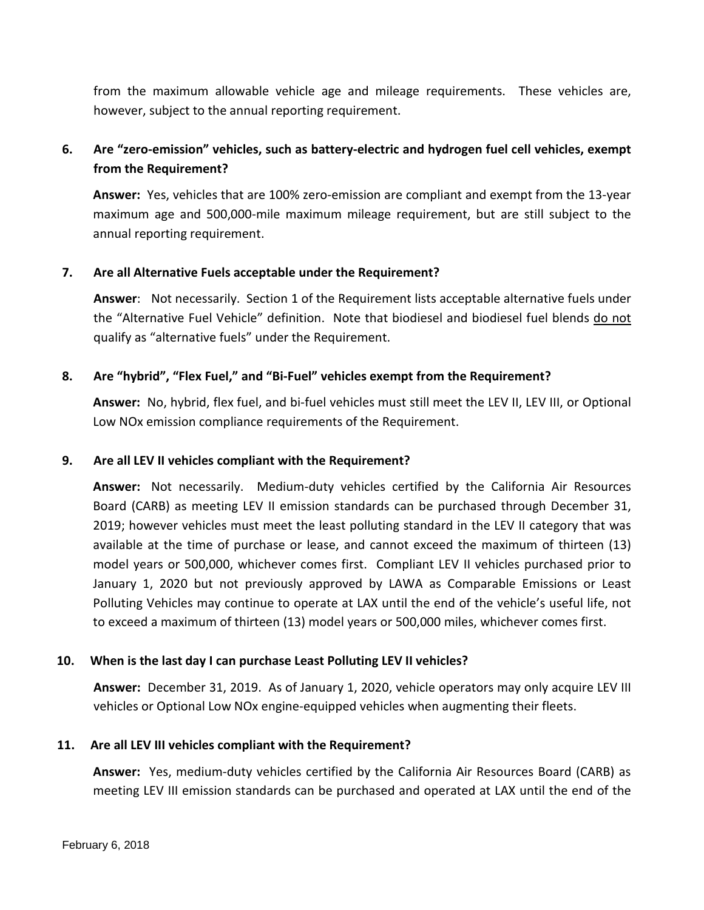from the maximum allowable vehicle age and mileage requirements. These vehicles are, however, subject to the annual reporting requirement.

### **6. Are "zero-emission" vehicles, such as battery-electric and hydrogen fuel cell vehicles, exempt from the Requirement?**

**Answer:** Yes, vehicles that are 100% zero-emission are compliant and exempt from the 13-year maximum age and 500,000-mile maximum mileage requirement, but are still subject to the annual reporting requirement.

### **7. Are all Alternative Fuels acceptable under the Requirement?**

**Answer**: Not necessarily. Section 1 of the Requirement lists acceptable alternative fuels under the "Alternative Fuel Vehicle" definition. Note that biodiesel and biodiesel fuel blends do not qualify as "alternative fuels" under the Requirement.

### **8. Are "hybrid", "Flex Fuel," and "Bi-Fuel" vehicles exempt from the Requirement?**

**Answer:** No, hybrid, flex fuel, and bi-fuel vehicles must still meet the LEV II, LEV III, or Optional Low NOx emission compliance requirements of the Requirement.

### **9. Are all LEV II vehicles compliant with the Requirement?**

**Answer:** Not necessarily. Medium-duty vehicles certified by the California Air Resources Board (CARB) as meeting LEV II emission standards can be purchased through December 31, 2019; however vehicles must meet the least polluting standard in the LEV II category that was available at the time of purchase or lease, and cannot exceed the maximum of thirteen (13) model years or 500,000, whichever comes first. Compliant LEV II vehicles purchased prior to January 1, 2020 but not previously approved by LAWA as Comparable Emissions or Least Polluting Vehicles may continue to operate at LAX until the end of the vehicle's useful life, not to exceed a maximum of thirteen (13) model years or 500,000 miles, whichever comes first.

### **10. When is the last day I can purchase Least Polluting LEV II vehicles?**

**Answer:** December 31, 2019. As of January 1, 2020, vehicle operators may only acquire LEV III vehicles or Optional Low NOx engine-equipped vehicles when augmenting their fleets.

### **11. Are all LEV III vehicles compliant with the Requirement?**

**Answer:** Yes, medium-duty vehicles certified by the California Air Resources Board (CARB) as meeting LEV III emission standards can be purchased and operated at LAX until the end of the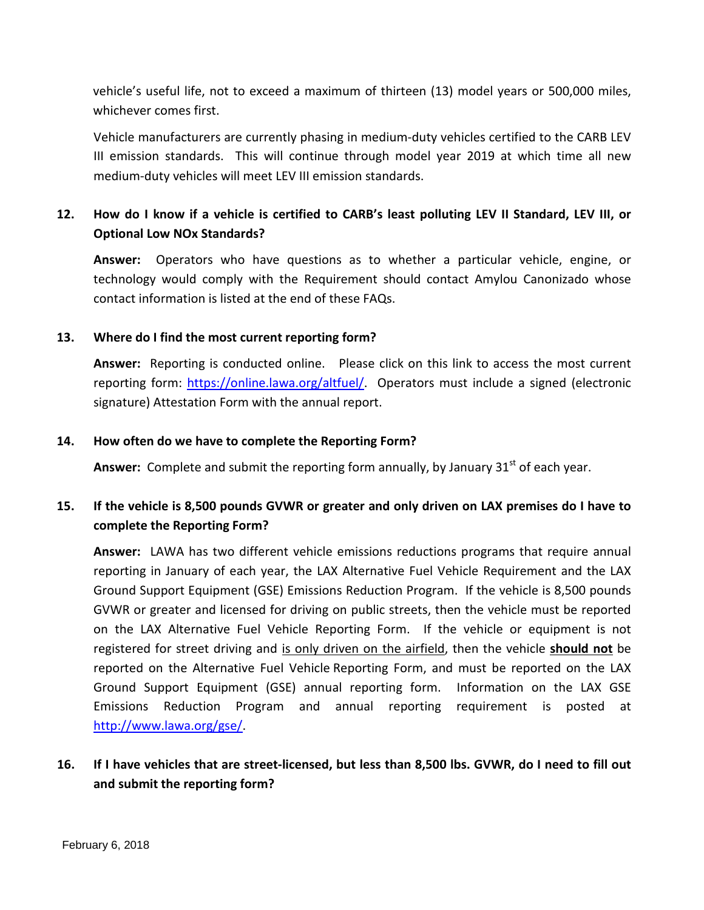vehicle's useful life, not to exceed a maximum of thirteen (13) model years or 500,000 miles, whichever comes first.

Vehicle manufacturers are currently phasing in medium-duty vehicles certified to the CARB LEV III emission standards. This will continue through model year 2019 at which time all new medium-duty vehicles will meet LEV III emission standards.

## **12. How do I know if a vehicle is certified to CARB's least polluting LEV II Standard, LEV III, or Optional Low NOx Standards?**

**Answer:** Operators who have questions as to whether a particular vehicle, engine, or technology would comply with the Requirement should contact Amylou Canonizado whose contact information is listed at the end of these FAQs.

### **13. Where do I find the most current reporting form?**

**Answer:** Reporting is conducted online. Please click on this link to access the most current reporting form: [https://online.lawa.org/altfuel/.](https://online.lawa.org/altfuel/) Operators must include a signed (electronic signature) Attestation Form with the annual report.

### **14. How often do we have to complete the Reporting Form?**

Answer: Complete and submit the reporting form annually, by January 31<sup>st</sup> of each year.

## **15. If the vehicle is 8,500 pounds GVWR or greater and only driven on LAX premises do I have to complete the Reporting Form?**

**Answer:** LAWA has two different vehicle emissions reductions programs that require annual reporting in January of each year, the LAX Alternative Fuel Vehicle Requirement and the LAX Ground Support Equipment (GSE) Emissions Reduction Program. If the vehicle is 8,500 pounds GVWR or greater and licensed for driving on public streets, then the vehicle must be reported on the LAX Alternative Fuel Vehicle Reporting Form. If the vehicle or equipment is not registered for street driving and is only driven on the airfield, then the vehicle **should not** be reported on the Alternative Fuel Vehicle Reporting Form, and must be reported on the LAX Ground Support Equipment (GSE) annual reporting form. Information on the LAX GSE Emissions Reduction Program and annual reporting requirement is posted at [http://www.lawa.org/gse/.](http://www.lawa.org/gse/)

# **16. If I have vehicles that are street-licensed, but less than 8,500 lbs. GVWR, do I need to fill out and submit the reporting form?**